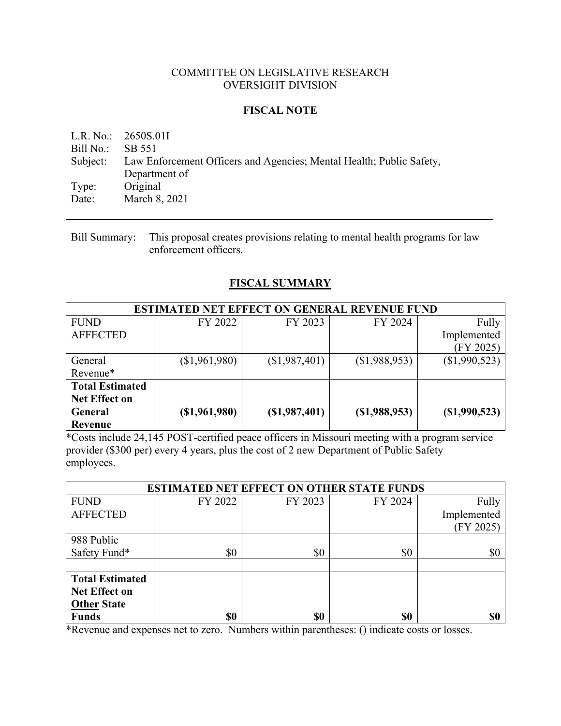### COMMITTEE ON LEGISLATIVE RESEARCH OVERSIGHT DIVISION

### **FISCAL NOTE**

L.R. No.: 2650S.01I Bill No.: SB 551 Subject: Law Enforcement Officers and Agencies; Mental Health; Public Safety, Department of Type: Original Date: March 8, 2021

Bill Summary: This proposal creates provisions relating to mental health programs for law enforcement officers.

## **FISCAL SUMMARY**

| <b>ESTIMATED NET EFFECT ON GENERAL REVENUE FUND</b> |                 |                 |                 |                 |  |
|-----------------------------------------------------|-----------------|-----------------|-----------------|-----------------|--|
| <b>FUND</b>                                         | FY 2022         | FY 2023         | FY 2024         | Fully           |  |
| <b>AFFECTED</b>                                     |                 |                 |                 | Implemented     |  |
|                                                     |                 |                 |                 | (FY 2025)       |  |
| General                                             | (\$1,961,980)   | (\$1,987,401)   | (\$1,988,953)   | (\$1,990,523)   |  |
| Revenue*                                            |                 |                 |                 |                 |  |
| <b>Total Estimated</b>                              |                 |                 |                 |                 |  |
| <b>Net Effect on</b>                                |                 |                 |                 |                 |  |
| General                                             | $(\$1,961,980)$ | $(\$1,987,401)$ | $(\$1,988,953)$ | $(\$1,990,523)$ |  |
| Revenue                                             |                 |                 |                 |                 |  |

\*Costs include 24,145 POST-certified peace officers in Missouri meeting with a program service provider (\$300 per) every 4 years, plus the cost of 2 new Department of Public Safety employees.

| <b>ESTIMATED NET EFFECT ON OTHER STATE FUNDS</b> |         |         |         |             |  |
|--------------------------------------------------|---------|---------|---------|-------------|--|
| <b>FUND</b>                                      | FY 2022 | FY 2023 | FY 2024 | Fully       |  |
| <b>AFFECTED</b>                                  |         |         |         | Implemented |  |
|                                                  |         |         |         | (FY 2025)   |  |
| 988 Public                                       |         |         |         |             |  |
| Safety Fund*                                     | \$0     | \$0     | \$0     | \$0         |  |
|                                                  |         |         |         |             |  |
| <b>Total Estimated</b>                           |         |         |         |             |  |
| <b>Net Effect on</b>                             |         |         |         |             |  |
| <b>Other State</b>                               |         |         |         |             |  |
| <b>Funds</b>                                     | \$0     | \$0     | \$0     | \$0         |  |

\*Revenue and expenses net to zero. Numbers within parentheses: () indicate costs or losses.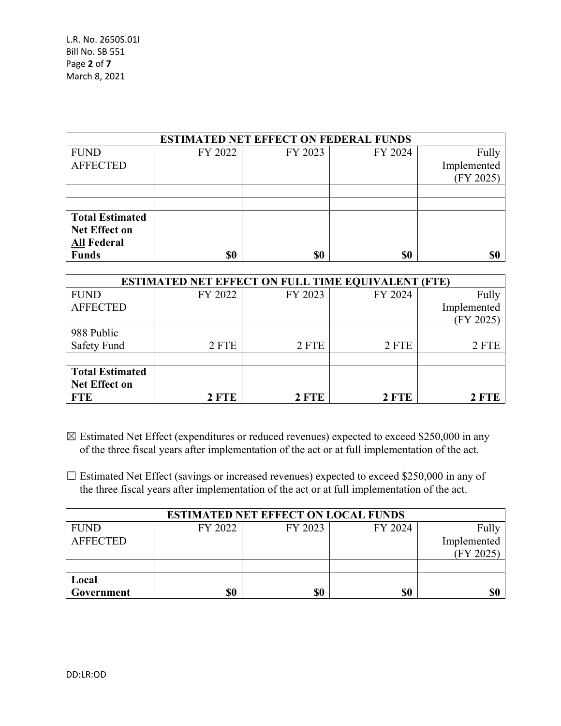| <b>ESTIMATED NET EFFECT ON FEDERAL FUNDS</b> |         |         |         |             |  |  |
|----------------------------------------------|---------|---------|---------|-------------|--|--|
| <b>FUND</b>                                  | FY 2022 | FY 2023 | FY 2024 | Fully       |  |  |
| <b>AFFECTED</b>                              |         |         |         | Implemented |  |  |
|                                              |         |         |         | (FY 2025)   |  |  |
|                                              |         |         |         |             |  |  |
|                                              |         |         |         |             |  |  |
| <b>Total Estimated</b>                       |         |         |         |             |  |  |
| Net Effect on                                |         |         |         |             |  |  |
| <b>All Federal</b>                           |         |         |         |             |  |  |
| <b>Funds</b>                                 | \$0     | \$0     | \$0     | \$0         |  |  |

| <b>ESTIMATED NET EFFECT ON FULL TIME EQUIVALENT (FTE)</b> |         |         |         |             |  |
|-----------------------------------------------------------|---------|---------|---------|-------------|--|
| <b>FUND</b>                                               | FY 2022 | FY 2023 | FY 2024 | Fully       |  |
| <b>AFFECTED</b>                                           |         |         |         | Implemented |  |
|                                                           |         |         |         | (FY 2025)   |  |
| 988 Public                                                |         |         |         |             |  |
| <b>Safety Fund</b>                                        | 2 FTE   | 2 FTE   | 2 FTE   | 2 FTE       |  |
|                                                           |         |         |         |             |  |
| <b>Total Estimated</b>                                    |         |         |         |             |  |
| <b>Net Effect on</b>                                      |         |         |         |             |  |
| <b>FTE</b>                                                | 2 FTE   | 2 FTE   | 2 FTE   | 2 FTE       |  |

- ☒ Estimated Net Effect (expenditures or reduced revenues) expected to exceed \$250,000 in any of the three fiscal years after implementation of the act or at full implementation of the act.
- □ Estimated Net Effect (savings or increased revenues) expected to exceed \$250,000 in any of the three fiscal years after implementation of the act or at full implementation of the act.

| <b>ESTIMATED NET EFFECT ON LOCAL FUNDS</b> |         |         |         |             |  |
|--------------------------------------------|---------|---------|---------|-------------|--|
| <b>FUND</b>                                | FY 2022 | FY 2023 | FY 2024 | Fully       |  |
| <b>AFFECTED</b>                            |         |         |         | Implemented |  |
|                                            |         |         |         | (FY 2025)   |  |
|                                            |         |         |         |             |  |
| Local                                      |         |         |         |             |  |
| Government                                 | \$0     | \$0     | \$0     | \$0         |  |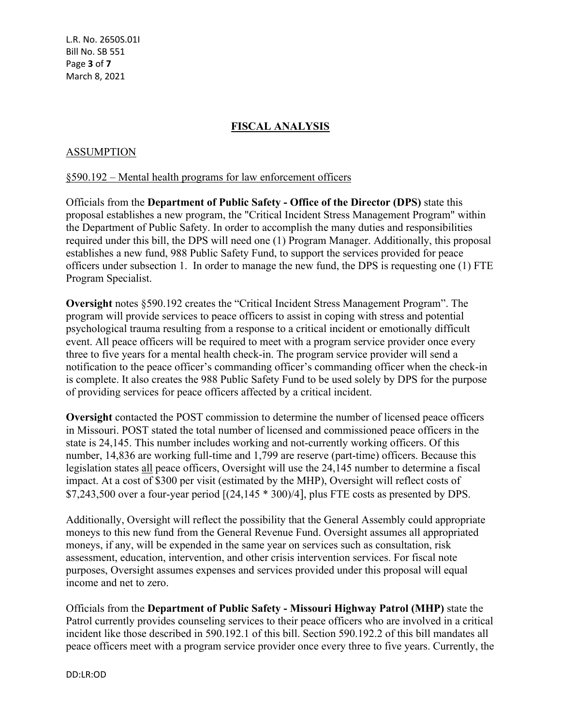L.R. No. 2650S.01I Bill No. SB 551 Page **3** of **7** March 8, 2021

## **FISCAL ANALYSIS**

#### ASSUMPTION

#### §590.192 – Mental health programs for law enforcement officers

Officials from the **Department of Public Safety - Office of the Director (DPS)** state this proposal establishes a new program, the "Critical Incident Stress Management Program" within the Department of Public Safety. In order to accomplish the many duties and responsibilities required under this bill, the DPS will need one (1) Program Manager. Additionally, this proposal establishes a new fund, 988 Public Safety Fund, to support the services provided for peace officers under subsection 1. In order to manage the new fund, the DPS is requesting one (1) FTE Program Specialist.

**Oversight** notes §590.192 creates the "Critical Incident Stress Management Program". The program will provide services to peace officers to assist in coping with stress and potential psychological trauma resulting from a response to a critical incident or emotionally difficult event. All peace officers will be required to meet with a program service provider once every three to five years for a mental health check-in. The program service provider will send a notification to the peace officer's commanding officer's commanding officer when the check-in is complete. It also creates the 988 Public Safety Fund to be used solely by DPS for the purpose of providing services for peace officers affected by a critical incident.

**Oversight** contacted the POST commission to determine the number of licensed peace officers in Missouri. POST stated the total number of licensed and commissioned peace officers in the state is 24,145. This number includes working and not-currently working officers. Of this number, 14,836 are working full-time and 1,799 are reserve (part-time) officers. Because this legislation states all peace officers, Oversight will use the 24,145 number to determine a fiscal impact. At a cost of \$300 per visit (estimated by the MHP), Oversight will reflect costs of  $$7,243,500$  over a four-year period  $[(24,145 * 300)/4]$ , plus FTE costs as presented by DPS.

Additionally, Oversight will reflect the possibility that the General Assembly could appropriate moneys to this new fund from the General Revenue Fund. Oversight assumes all appropriated moneys, if any, will be expended in the same year on services such as consultation, risk assessment, education, intervention, and other crisis intervention services. For fiscal note purposes, Oversight assumes expenses and services provided under this proposal will equal income and net to zero.

Officials from the **Department of Public Safety - Missouri Highway Patrol (MHP)** state the Patrol currently provides counseling services to their peace officers who are involved in a critical incident like those described in 590.192.1 of this bill. Section 590.192.2 of this bill mandates all peace officers meet with a program service provider once every three to five years. Currently, the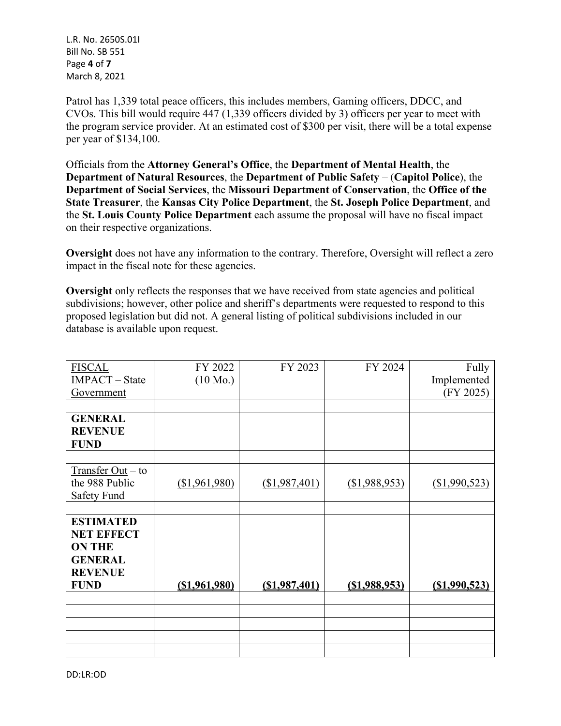L.R. No. 2650S.01I Bill No. SB 551 Page **4** of **7** March 8, 2021

Patrol has 1,339 total peace officers, this includes members, Gaming officers, DDCC, and CVOs. This bill would require 447 (1,339 officers divided by 3) officers per year to meet with the program service provider. At an estimated cost of \$300 per visit, there will be a total expense per year of \$134,100.

Officials from the **Attorney General's Office**, the **Department of Mental Health**, the **Department of Natural Resources**, the **Department of Public Safety** – (**Capitol Police**), the **Department of Social Services**, the **Missouri Department of Conservation**, the **Office of the State Treasurer**, the **Kansas City Police Department**, the **St. Joseph Police Department**, and the **St. Louis County Police Department** each assume the proposal will have no fiscal impact on their respective organizations.

**Oversight** does not have any information to the contrary. Therefore, Oversight will reflect a zero impact in the fiscal note for these agencies.

**Oversight** only reflects the responses that we have received from state agencies and political subdivisions; however, other police and sheriff's departments were requested to respond to this proposed legislation but did not. A general listing of political subdivisions included in our database is available upon request.

| <b>FISCAL</b>         | FY 2022            | FY 2023        | FY 2024          | Fully         |
|-----------------------|--------------------|----------------|------------------|---------------|
| <b>IMPACT</b> – State | $(10 \text{ Mo.})$ |                |                  | Implemented   |
| Government            |                    |                |                  | (FY 2025)     |
|                       |                    |                |                  |               |
| <b>GENERAL</b>        |                    |                |                  |               |
| <b>REVENUE</b>        |                    |                |                  |               |
| <b>FUND</b>           |                    |                |                  |               |
|                       |                    |                |                  |               |
| Transfer Out – to     |                    |                |                  |               |
| the 988 Public        | (\$1,961,980)      | (\$1,987,401)  | (\$1,988,953)    | (\$1,990,523) |
| Safety Fund           |                    |                |                  |               |
|                       |                    |                |                  |               |
| <b>ESTIMATED</b>      |                    |                |                  |               |
| <b>NET EFFECT</b>     |                    |                |                  |               |
| <b>ON THE</b>         |                    |                |                  |               |
| <b>GENERAL</b>        |                    |                |                  |               |
| <b>REVENUE</b>        |                    |                |                  |               |
| <b>FUND</b>           | ( \$1, 961, 980)   | (S1, 987, 401) | $($ \$1,988,953) | (S1,990,523)  |
|                       |                    |                |                  |               |
|                       |                    |                |                  |               |
|                       |                    |                |                  |               |
|                       |                    |                |                  |               |
|                       |                    |                |                  |               |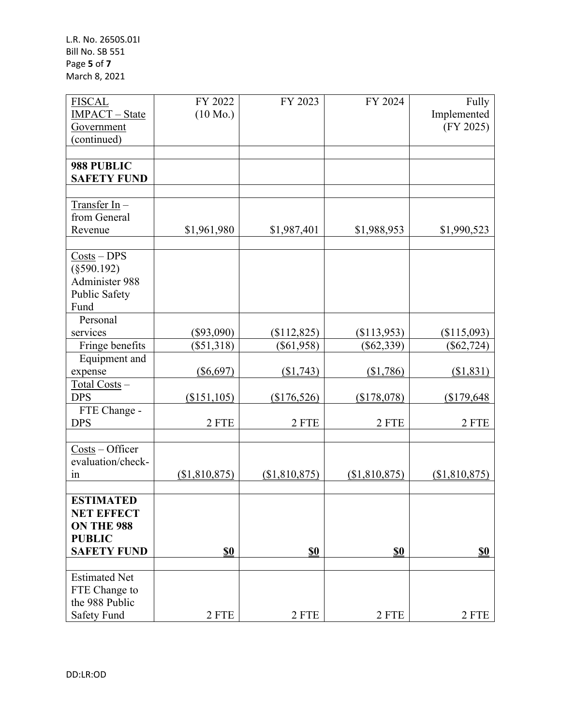| <b>FISCAL</b>                                      | FY 2022            | FY 2023       | FY 2024       | Fully         |
|----------------------------------------------------|--------------------|---------------|---------------|---------------|
| <b>IMPACT</b> - State                              | $(10 \text{ Mo.})$ |               |               | Implemented   |
| Government                                         |                    |               |               | (FY 2025)     |
| (continued)                                        |                    |               |               |               |
|                                                    |                    |               |               |               |
| 988 PUBLIC                                         |                    |               |               |               |
| <b>SAFETY FUND</b>                                 |                    |               |               |               |
|                                                    |                    |               |               |               |
| $Transfer In-$                                     |                    |               |               |               |
| from General                                       |                    |               |               |               |
| Revenue                                            | \$1,961,980        | \$1,987,401   | \$1,988,953   | \$1,990,523   |
|                                                    |                    |               |               |               |
| $Costs - DPS$                                      |                    |               |               |               |
| $(\$590.192)$                                      |                    |               |               |               |
| Administer 988                                     |                    |               |               |               |
| Public Safety                                      |                    |               |               |               |
| Fund                                               |                    |               |               |               |
| Personal                                           |                    |               |               |               |
| services                                           | $(\$93,090)$       | (\$112,825)   | (\$113,953)   | (\$115,093)   |
| Fringe benefits                                    | $(\$51,318)$       | $(\$61,958)$  | $(\$62,339)$  | $(\$62,724)$  |
| Equipment and                                      |                    |               |               |               |
| expense                                            | $(\$6,697)$        | (\$1,743)     | (\$1,786)     | (\$1,831)     |
| $Total Costs -$                                    |                    |               |               |               |
| <b>DPS</b>                                         | (\$151, 105)       | (\$176,526)   | (\$178,078)   | \$179,648     |
| FTE Change -                                       |                    |               |               |               |
| <b>DPS</b>                                         | 2 FTE              | 2 FTE         | 2 FTE         | 2 FTE         |
|                                                    |                    |               |               |               |
| $\frac{\text{Costs}}{\text{Cost}} - \text{Office}$ |                    |               |               |               |
| evaluation/check-                                  |                    |               |               |               |
| in                                                 | (\$1,810,875)      | (\$1,810,875) | (\$1,810,875) | (\$1,810,875) |
|                                                    |                    |               |               |               |
| <b>ESTIMATED</b>                                   |                    |               |               |               |
| <b>NET EFFECT</b>                                  |                    |               |               |               |
| ON THE 988                                         |                    |               |               |               |
| <b>PUBLIC</b>                                      |                    |               |               |               |
| <b>SAFETY FUND</b>                                 | <b>\$0</b>         | \$0           | \$0           | <b>\$0</b>    |
|                                                    |                    |               |               |               |
| <b>Estimated Net</b>                               |                    |               |               |               |
| FTE Change to                                      |                    |               |               |               |
| the 988 Public                                     |                    |               |               |               |
| Safety Fund                                        | 2 FTE              | 2 FTE         | 2 FTE         | 2 FTE         |
|                                                    |                    |               |               |               |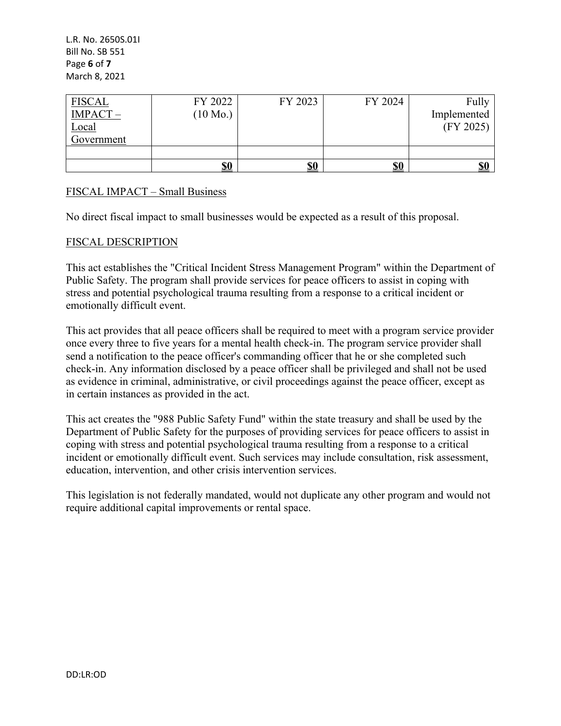| <b>FISCAL</b> | FY 2022            | FY 2023 | FY 2024    | Fully                     |
|---------------|--------------------|---------|------------|---------------------------|
| IMPACT-       | $(10 \text{ Mo.})$ |         |            | Implemented               |
| <b>Local</b>  |                    |         |            | (FY 2025)                 |
| Government    |                    |         |            |                           |
|               |                    |         |            |                           |
|               | <u>\$0</u>         | \$0     | <u>\$0</u> | $\underline{\mathbf{S0}}$ |

# FISCAL IMPACT – Small Business

No direct fiscal impact to small businesses would be expected as a result of this proposal.

### FISCAL DESCRIPTION

This act establishes the "Critical Incident Stress Management Program" within the Department of Public Safety. The program shall provide services for peace officers to assist in coping with stress and potential psychological trauma resulting from a response to a critical incident or emotionally difficult event.

This act provides that all peace officers shall be required to meet with a program service provider once every three to five years for a mental health check-in. The program service provider shall send a notification to the peace officer's commanding officer that he or she completed such check-in. Any information disclosed by a peace officer shall be privileged and shall not be used as evidence in criminal, administrative, or civil proceedings against the peace officer, except as in certain instances as provided in the act.

This act creates the "988 Public Safety Fund" within the state treasury and shall be used by the Department of Public Safety for the purposes of providing services for peace officers to assist in coping with stress and potential psychological trauma resulting from a response to a critical incident or emotionally difficult event. Such services may include consultation, risk assessment, education, intervention, and other crisis intervention services.

This legislation is not federally mandated, would not duplicate any other program and would not require additional capital improvements or rental space.